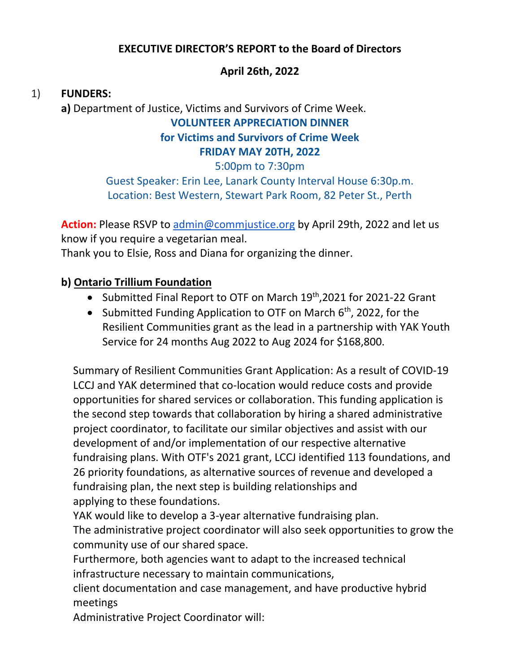### **EXECUTIVE DIRECTOR'S REPORT to the Board of Directors**

#### **April 26th, 2022**

## 1) **FUNDERS:**

**a)** Department of Justice, Victims and Survivors of Crime Week. **VOLUNTEER APPRECIATION DINNER for Victims and Survivors of Crime Week FRIDAY MAY 20TH, 2022**

5:00pm to 7:30pm

Guest Speaker: Erin Lee, Lanark County Interval House 6:30p.m. Location: Best Western, Stewart Park Room, 82 Peter St., Perth

**Action:** Please RSVP to [admin@commjustice.org](mailto:admin@commjustice.org) by April 29th, 2022 and let us know if you require a vegetarian meal.

Thank you to Elsie, Ross and Diana for organizing the dinner.

### **b) Ontario Trillium Foundation**

- Submitted Final Report to OTF on March 19<sup>th</sup>, 2021 for 2021-22 Grant
- Submitted Funding Application to OTF on March  $6<sup>th</sup>$ , 2022, for the Resilient Communities grant as the lead in a partnership with YAK Youth Service for 24 months Aug 2022 to Aug 2024 for \$168,800.

Summary of Resilient Communities Grant Application: As a result of COVID-19 LCCJ and YAK determined that co-location would reduce costs and provide opportunities for shared services or collaboration. This funding application is the second step towards that collaboration by hiring a shared administrative project coordinator, to facilitate our similar objectives and assist with our development of and/or implementation of our respective alternative fundraising plans. With OTF's 2021 grant, LCCJ identified 113 foundations, and 26 priority foundations, as alternative sources of revenue and developed a fundraising plan, the next step is building relationships and applying to these foundations.

YAK would like to develop a 3-year alternative fundraising plan.

The administrative project coordinator will also seek opportunities to grow the community use of our shared space.

Furthermore, both agencies want to adapt to the increased technical infrastructure necessary to maintain communications,

client documentation and case management, and have productive hybrid meetings

Administrative Project Coordinator will: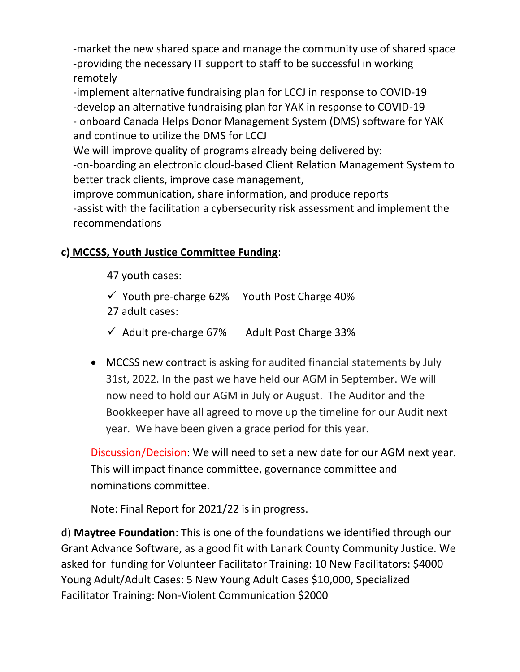-market the new shared space and manage the community use of shared space -providing the necessary IT support to staff to be successful in working remotely

-implement alternative fundraising plan for LCCJ in response to COVID-19 -develop an alternative fundraising plan for YAK in response to COVID-19 - onboard Canada Helps Donor Management System (DMS) software for YAK and continue to utilize the DMS for LCCJ

We will improve quality of programs already being delivered by:

-on-boarding an electronic cloud-based Client Relation Management System to better track clients, improve case management,

improve communication, share information, and produce reports -assist with the facilitation a cybersecurity risk assessment and implement the recommendations

# **c) MCCSS, Youth Justice Committee Funding**:

47 youth cases:

✓ Youth pre-charge 62% Youth Post Charge 40%

27 adult cases:

✓ Adult pre-charge 67% Adult Post Charge 33%

• MCCSS new contract is asking for audited financial statements by July 31st, 2022. In the past we have held our AGM in September. We will now need to hold our AGM in July or August. The Auditor and the Bookkeeper have all agreed to move up the timeline for our Audit next year. We have been given a grace period for this year.

Discussion/Decision: We will need to set a new date for our AGM next year. This will impact finance committee, governance committee and nominations committee.

Note: Final Report for 2021/22 is in progress.

d) **Maytree Foundation**: This is one of the foundations we identified through our Grant Advance Software, as a good fit with Lanark County Community Justice. We asked for funding for Volunteer Facilitator Training: 10 New Facilitators: \$4000 Young Adult/Adult Cases: 5 New Young Adult Cases \$10,000, Specialized Facilitator Training: Non-Violent Communication \$2000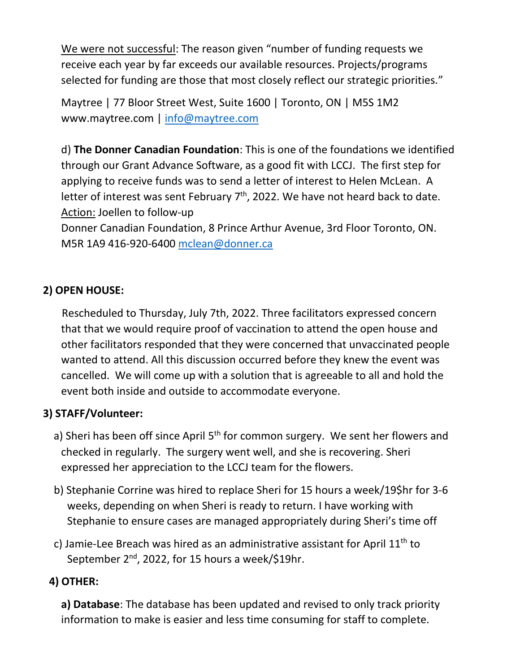We were not successful: The reason given "number of funding requests we receive each year by far exceeds our available resources. Projects/programs selected for funding are those that most closely reflect our strategic priorities."

Maytree | 77 Bloor Street West, Suite 1600 | Toronto, ON | M5S 1M2 www.maytree.com | [info@maytree.com](mailto:info@maytree.com)

d) **The Donner Canadian Foundation**: This is one of the foundations we identified through our Grant Advance Software, as a good fit with LCCJ. The first step for applying to receive funds was to send a letter of interest to Helen McLean. A letter of interest was sent February  $7<sup>th</sup>$ , 2022. We have not heard back to date. Action: Joellen to follow-up

Donner Canadian Foundation, 8 Prince Arthur Avenue, 3rd Floor Toronto, ON. M5R 1A9 416-920-6400 [mclean@donner.ca](mailto:mclean@donner.ca)

# **2) OPEN HOUSE:**

Rescheduled to Thursday, July 7th, 2022. Three facilitators expressed concern that that we would require proof of vaccination to attend the open house and other facilitators responded that they were concerned that unvaccinated people wanted to attend. All this discussion occurred before they knew the event was cancelled. We will come up with a solution that is agreeable to all and hold the event both inside and outside to accommodate everyone.

## **3) STAFF/Volunteer:**

- a) Sheri has been off since April 5<sup>th</sup> for common surgery. We sent her flowers and checked in regularly. The surgery went well, and she is recovering. Sheri expressed her appreciation to the LCCJ team for the flowers.
	- b) Stephanie Corrine was hired to replace Sheri for 15 hours a week/19\$hr for 3-6 weeks, depending on when Sheri is ready to return. I have working with Stephanie to ensure cases are managed appropriately during Sheri's time off
	- c) Jamie-Lee Breach was hired as an administrative assistant for April  $11<sup>th</sup>$  to September 2<sup>nd</sup>, 2022, for 15 hours a week/\$19hr.

## **4) OTHER:**

**a) Database**: The database has been updated and revised to only track priority information to make is easier and less time consuming for staff to complete.